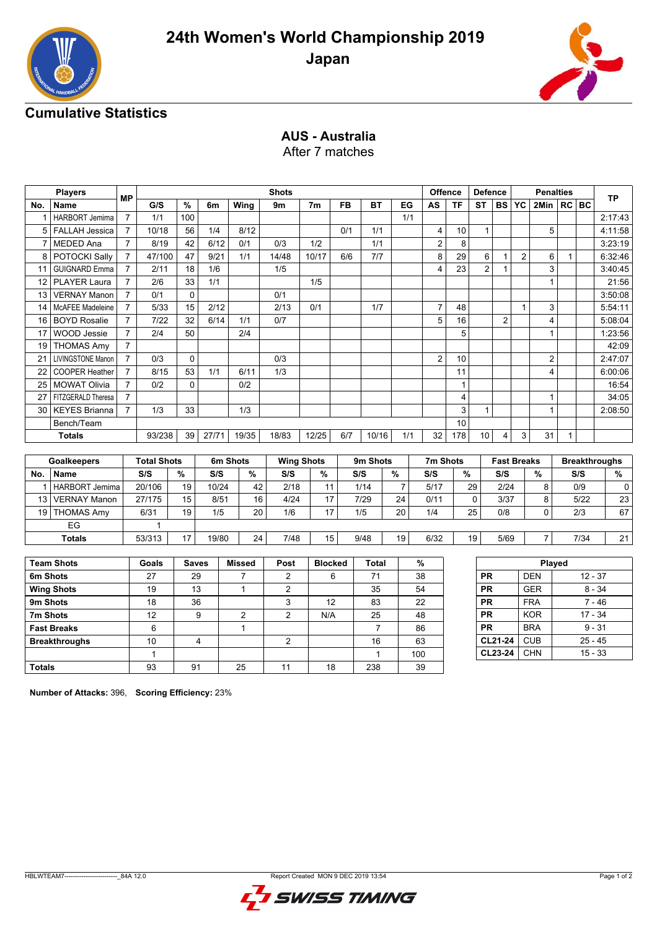



# **Cumulative Statistics**

# **AUS - Australia**

After 7 matches

|                | <b>Players</b>           |                |                    |              |                |                | <b>Shots</b>   |                   |           |                |                |                | <b>Offence</b> | <b>Defence</b> |                |                    | <b>Penalties</b>        |              |           | <b>TP</b>            |
|----------------|--------------------------|----------------|--------------------|--------------|----------------|----------------|----------------|-------------------|-----------|----------------|----------------|----------------|----------------|----------------|----------------|--------------------|-------------------------|--------------|-----------|----------------------|
| No.            | Name                     | МP             | G/S                | $\%$         | 6m             | Wing           | 9m             | 7 <sub>m</sub>    | <b>FB</b> | <b>BT</b>      | EG             | AS             | <b>TF</b>      | <b>ST</b>      | BS             | YC.                | 2Min                    |              | $RC$ BC   |                      |
| 1              | <b>HARBORT Jemima</b>    | $\overline{7}$ | 1/1                | 100          |                |                |                |                   |           |                |                | 1/1            |                |                |                |                    |                         |              |           | 2:17:43              |
| 5              | <b>FALLAH Jessica</b>    | $\overline{7}$ | 10/18              | 56           | 1/4            | 8/12           |                |                   | 0/1       | 1/1            |                | 4              | 10             | $\mathbf{1}$   |                |                    | 5                       |              |           | 4:11:58              |
| $\overline{7}$ | MEDED Ana                | $\overline{7}$ | 8/19               | 42           | 6/12           | 0/1            | 0/3            | 1/2               |           | 1/1            |                | $\overline{2}$ | 8              |                |                |                    |                         |              |           | 3:23:19              |
| 8              | POTOCKI Sally            | $\overline{7}$ | 47/100             | 47           | 9/21           | 1/1            | 14/48          | 10/17             | 6/6       | 7/7            |                | 8              | 29             | 6              | $\mathbf{1}$   | $\overline{2}$     | 6                       | $\mathbf{1}$ |           | 6:32:46              |
| 11             | <b>GUIGNARD Emma</b>     | $\overline{7}$ | 2/11               | 18           | 1/6            |                | 1/5            |                   |           |                |                | 4              | 23             | $\overline{2}$ | $\mathbf{1}$   |                    | 3                       |              |           | 3:40:45              |
| 12             | PLAYER Laura             | $\overline{7}$ | 2/6                | 33           | 1/1            |                |                | 1/5               |           |                |                |                |                |                |                |                    | 1                       |              |           | 21:56                |
| 13             | <b>VERNAY Manon</b>      | $\overline{7}$ | 0/1                | $\mathbf 0$  |                |                | 0/1            |                   |           |                |                |                |                |                |                |                    |                         |              |           | 3:50:08              |
| 14             | <b>McAFEE Madeleine</b>  | $\overline{7}$ | 5/33               | 15           | 2/12           |                | 2/13           | 0/1               |           | 1/7            |                | $\overline{7}$ | 48             |                |                | $\mathbf{1}$       | 3                       |              |           | 5:54:11              |
| 16             | <b>BOYD Rosalie</b>      | $\overline{7}$ | 7/22               | 32           | 6/14           | 1/1            | 0/7            |                   |           |                |                | $\overline{5}$ | 16             |                | 2              |                    | $\overline{\mathbf{4}}$ |              |           | 5:08:04              |
| 17             | <b>WOOD Jessie</b>       | $\overline{7}$ | 2/4                | 50           |                | 2/4            |                |                   |           |                |                |                | 5              |                |                |                    | 1                       |              |           | 1:23:56              |
| 19             | <b>THOMAS Amy</b>        | $\overline{7}$ |                    |              |                |                |                |                   |           |                |                |                |                |                |                |                    |                         |              |           | 42:09                |
| 21             | <b>LIVINGSTONE Manon</b> | $\overline{7}$ | 0/3                | $\Omega$     |                |                | 0/3            |                   |           |                |                | $\overline{2}$ | 10             |                |                |                    | $\overline{2}$          |              |           | 2:47:07              |
| 22             | <b>COOPER Heather</b>    | $\overline{7}$ | 8/15               | 53           | 1/1            | 6/11           | 1/3            |                   |           |                |                |                | 11             |                |                |                    | 4                       |              |           | 6:00:06              |
| 25             | <b>MOWAT Olivia</b>      | $\overline{7}$ | 0/2                | $\mathbf 0$  |                | 0/2            |                |                   |           |                |                |                | 1              |                |                |                    |                         |              |           | 16:54                |
| 27             | FITZGERALD Theresa       | $\overline{7}$ |                    |              |                |                |                |                   |           |                |                |                | 4              |                |                |                    | 1                       |              |           | 34:05                |
| 30             | <b>KEYES Brianna</b>     | $\overline{7}$ | 1/3                | 33           |                | 1/3            |                |                   |           |                |                |                | 3              | $\mathbf{1}$   |                |                    | $\mathbf{1}$            |              |           | 2:08:50              |
|                | Bench/Team               |                |                    |              |                |                |                |                   |           |                |                |                | 10             |                |                |                    |                         |              |           |                      |
|                | <b>Totals</b>            |                | 93/238             | 39           | 27/71          | 19/35          | 18/83          | 12/25             | 6/7       | 10/16          |                | 1/1<br>32      | 178            | 10             | $\overline{4}$ | 3                  | 31                      | $\mathbf{1}$ |           |                      |
|                |                          |                |                    |              |                |                |                |                   |           |                |                |                |                |                |                |                    |                         |              |           |                      |
|                | <b>Goalkeepers</b>       |                | <b>Total Shots</b> |              |                | 6m Shots       |                | <b>Wing Shots</b> |           | 9m Shots       |                |                | 7m Shots       |                |                | <b>Fast Breaks</b> |                         |              |           | <b>Breakthroughs</b> |
| No.            | <b>Name</b>              |                | S/S                | $\%$         | S/S            | %              | S/S            | %                 |           | S/S            | $\%$           | S/S            | $\%$           |                | S/S            |                    | %                       |              | S/S       | %                    |
| 1              | <b>HARBORT Jemima</b>    |                | 20/106             | 19           | 10/24          | 42             | 2/18           | 11                |           | 1/14           | $\overline{7}$ | 5/17           |                | 29             | 2/24           |                    | 8                       |              | 0/9       | 0                    |
| 13             | <b>VERNAY Manon</b>      |                | 27/175             | 15           | 8/51           | 16             | 4/24           | 17                |           | 7/29           | 24             | 0/11           |                | 0              | 3/37           |                    | 8                       |              | $5/22$    | 23                   |
| 19             | <b>THOMAS Amy</b>        |                | 6/31               | 19           | 1/5            | 20             | 1/6            | 17                |           | 1/5            | 20             | 1/4            |                | 25             | 0/8            |                    | $\mathbf 0$             |              | 2/3       | 67                   |
|                | EG                       |                | 1                  |              |                |                |                |                   |           |                |                |                |                |                |                |                    |                         |              |           |                      |
|                | <b>Totals</b>            |                | 53/313             | 17           | 19/80          | 24             | 7/48           | 15                |           | 9/48           | 19             | 6/32           |                | 19             | 5/69           |                    | $\overline{7}$          |              | 7/34      | 21                   |
|                |                          |                |                    |              |                |                |                |                   |           |                |                |                |                |                |                |                    |                         |              |           |                      |
|                | <b>Team Shots</b>        |                | Goals              | <b>Saves</b> |                | <b>Missed</b>  | Post           | <b>Blocked</b>    |           | <b>Total</b>   |                | $\%$           |                |                |                |                    | Played                  |              |           |                      |
| 6m Shots       |                          |                | 27                 | 29           |                | $\overline{7}$ | 2              |                   | 6         | 71             |                | 38             |                | <b>PR</b>      |                |                    | <b>DEN</b>              |              | $12 - 37$ |                      |
|                | <b>Wing Shots</b>        |                | 19                 | 13           |                | $\mathbf{1}$   | $\overline{2}$ |                   |           | 35             |                | 54             |                | <b>PR</b>      |                |                    | <b>GER</b>              |              |           | $8 - 34$             |
| 9m Shots       |                          |                | 18                 | 36           |                |                | 3              | 12                |           | 83             |                | 22             |                | <b>PR</b>      |                |                    | <b>FRA</b>              |              |           | $7 - 46$             |
| 7m Shots       |                          |                | 12                 |              | 9              | $\overline{2}$ | $\overline{2}$ | N/A               |           | 25             |                | 48             |                | <b>PR</b>      |                |                    | <b>KOR</b>              |              | $17 - 34$ |                      |
|                | <b>Fast Breaks</b>       |                | 6                  |              |                | $\mathbf{1}$   |                |                   |           | $\overline{7}$ |                | 86             |                | <b>PR</b>      |                |                    | <b>BRA</b>              |              |           | $9 - 31$             |
|                | <b>Breakthroughs</b>     |                | 10                 |              | $\overline{4}$ |                | $\overline{2}$ |                   |           | 16             |                | 63             |                |                | CL21-24        |                    | <b>CUB</b>              |              | $25 - 45$ |                      |
|                |                          |                | 1                  |              |                |                |                |                   |           | 1              |                | 100            |                |                | CL23-24        |                    | <b>CHN</b>              |              | $15 - 33$ |                      |
| <b>Totals</b>  |                          |                | 93                 | 91           |                | 25             | 11             | 18                |           | 238            |                | 39             |                |                |                |                    |                         |              |           |                      |

**Number of Attacks:** 396, **Scoring Efficiency:** 23%